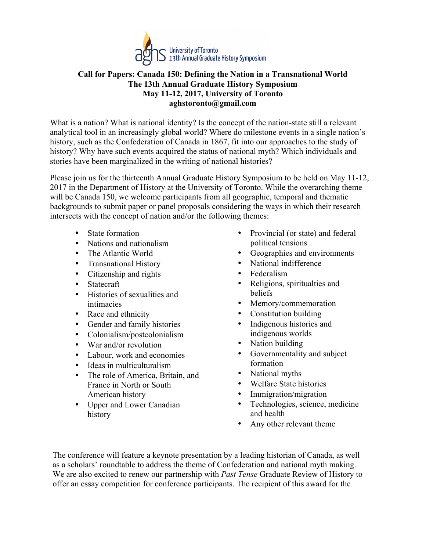

## **Call for Papers: Canada 150: Defining the Nation in a Transnational World The 13th Annual Graduate History Symposium May 11-12, 2017, University of Toronto aghstoronto@gmail.com**

What is a nation? What is national identity? Is the concept of the nation-state still a relevant analytical tool in an increasingly global world? Where do milestone events in a single nation's history, such as the Confederation of Canada in 1867, fit into our approaches to the study of history? Why have such events acquired the status of national myth? Which individuals and stories have been marginalized in the writing of national histories?

Please join us for the thirteenth Annual Graduate History Symposium to be held on May 11-12, 2017 in the Department of History at the University of Toronto. While the overarching theme will be Canada 150, we welcome participants from all geographic, temporal and thematic backgrounds to submit paper or panel proposals considering the ways in which their research intersects with the concept of nation and/or the following themes:

- State formation
- Nations and nationalism
- The Atlantic World
- Transnational History
- Citizenship and rights
- Statecraft
- Histories of sexualities and intimacies
- Race and ethnicity
- Gender and family histories
- Colonialism/postcolonialism
- War and/or revolution
- Labour, work and economies
- Ideas in multiculturalism
- The role of America, Britain, and France in North or South American history
- Upper and Lower Canadian history
- Provincial (or state) and federal political tensions
- Geographies and environments
- National indifference
- Federalism
- Religions, spiritualties and beliefs
- Memory/commemoration
- Constitution building
- Indigenous histories and indigenous worlds
- Nation building
- Governmentality and subject formation
- National myths
- Welfare State histories
- Immigration/migration
- Technologies, science, medicine and health
- Any other relevant theme

The conference will feature a keynote presentation by a leading historian of Canada, as well as a scholars' roundtable to address the theme of Confederation and national myth making. We are also excited to renew our partnership with *Past Tense* Graduate Review of History to offer an essay competition for conference participants. The recipient of this award for the